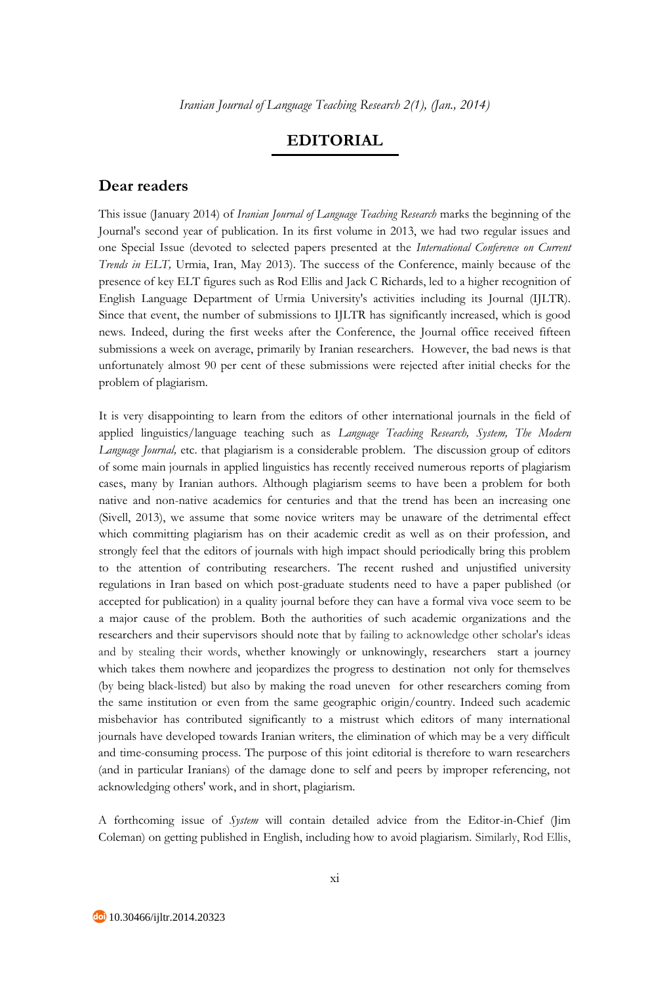## **EDITORIAL**

## **Dear readers**

This issue (January 2014) of *Iranian Journal of Language Teaching Research* marks the beginning of the Journal's second year of publication. In its first volume in 2013, we had two regular issues and one Special Issue (devoted to selected papers presented at the *International Conference on Current Trends in ELT,* Urmia, Iran, May 2013). The success of the Conference, mainly because of the presence of key ELT figures such as Rod Ellis and Jack C Richards, led to a higher recognition of English Language Department of Urmia University's activities including its Journal (IJLTR). Since that event, the number of submissions to IJLTR has significantly increased, which is good news. Indeed, during the first weeks after the Conference, the Journal office received fifteen submissions a week on average, primarily by Iranian researchers. However, the bad news is that unfortunately almost 90 per cent of these submissions were rejected after initial checks for the problem of plagiarism.

It is very disappointing to learn from the editors of other international journals in the field of applied linguistics/language teaching such as *Language Teaching Research, System, The Modern Language Journal,* etc. that plagiarism is a considerable problem. The discussion group of editors of some main journals in applied linguistics has recently received numerous reports of plagiarism cases, many by Iranian authors. Although plagiarism seems to have been a problem for both native and non-native academics for centuries and that the trend has been an increasing one (Sivell, 2013), we assume that some novice writers may be unaware of the detrimental effect which committing plagiarism has on their academic credit as well as on their profession, and strongly feel that the editors of journals with high impact should periodically bring this problem to the attention of contributing researchers. The recent rushed and unjustified university regulations in Iran based on which post-graduate students need to have a paper published (or accepted for publication) in a quality journal before they can have a formal viva voce seem to be a major cause of the problem. Both the authorities of such academic organizations and the researchers and their supervisors should note that by failing to acknowledge other scholar's ideas and by stealing their words, whether knowingly or unknowingly, researchers start a journey which takes them nowhere and jeopardizes the progress to destination not only for themselves (by being black-listed) but also by making the road uneven for other researchers coming from the same institution or even from the same geographic origin/country. Indeed such academic misbehavior has contributed significantly to a mistrust which editors of many international journals have developed towards Iranian writers, the elimination of which may be a very difficult and time-consuming process. The purpose of this joint editorial is therefore to warn researchers (and in particular Iranians) of the damage done to self and peers by improper referencing, not acknowledging others' work, and in short, plagiarism.

A forthcoming issue of *System* will contain detailed advice from the Editor-in-Chief (Jim Coleman) on getting published in English, including how to avoid plagiarism. Similarly, Rod Ellis,